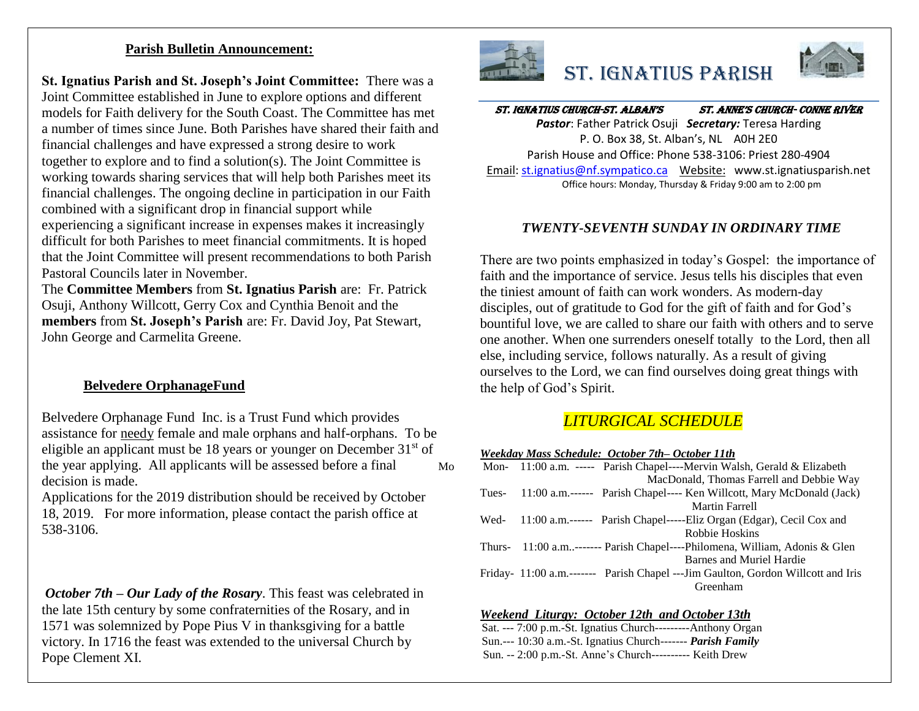#### **Parish Bulletin Announcement:**

**St. Ignatius Parish and St. Joseph's Joint Committee:** There was a Joint Committee established in June to explore options and different models for Faith delivery for the South Coast. The Committee has met a number of times since June. Both Parishes have shared their faith and financial challenges and have expressed a strong desire to work together to explore and to find a solution(s). The Joint Committee is working towards sharing services that will help both Parishes meet its financial challenges. The ongoing decline in participation in our Faith combined with a significant drop in financial support while experiencing a significant increase in expenses makes it increasingly difficult for both Parishes to meet financial commitments. It is hoped that the Joint Committee will present recommendations to both Parish Pastoral Councils later in November.

The **Committee Members** from **St. Ignatius Parish** are: Fr. Patrick Osuji, Anthony Willcott, Gerry Cox and Cynthia Benoit and the **members** from **St. Joseph's Parish** are: Fr. David Joy, Pat Stewart, John George and Carmelita Greene.

## **Belvedere OrphanageFund**

Belvedere Orphanage Fund Inc. is a Trust Fund which provides assistance for needy female and male orphans and half-orphans. To be eligible an applicant must be 18 years or younger on December  $31<sup>st</sup>$  of the year applying. All applicants will be assessed before a final decision is made.

Applications for the 2019 distribution should be received by October 18, 2019. For more information, please contact the parish office at 538-3106.

*October 7th – Our Lady of the Rosary*. This feast was celebrated in the late 15th century by some confraternities of the Rosary, and in 1571 was solemnized by Pope Pius V in thanksgiving for a battle victory. In 1716 the feast was extended to the universal Church by Pope Clement XI.



# St. Ignatius Parish



# St. Ignatius Church-St. AlbAn'S St. Anne'S ChurCh- Conne River

*Pastor*: Father Patrick Osuji *Secretary:* Teresa Harding P. O. Box 38, St. Alban's, NL A0H 2E0 Parish House and Office: Phone 538-3106: Priest 280-4904 Email[: st.ignatius@nf.sympatico.ca](mailto:st.ignatius@nf.sympatico.ca) Website: www.st.ignatiusparish.net Office hours: Monday, Thursday & Friday 9:00 am to 2:00 pm

### *TWENTY-SEVENTH SUNDAY IN ORDINARY TIME*

There are two points emphasized in today's Gospel: the importance of faith and the importance of service. Jesus tells his disciples that even the tiniest amount of faith can work wonders. As modern-day disciples, out of gratitude to God for the gift of faith and for God's bountiful love, we are called to share our faith with others and to serve one another. When one surrenders oneself totally to the Lord, then all else, including service, follows naturally. As a result of giving ourselves to the Lord, we can find ourselves doing great things with the help of God's Spirit.

# *LITURGICAL SCHEDULE*

*Weekday Mass Schedule: October 7th– October 11th*

| Mo |       | Mon- 11:00 a.m. ----- Parish Chapel----Mervin Walsh, Gerald & Elizabeth          |
|----|-------|----------------------------------------------------------------------------------|
|    |       | MacDonald, Thomas Farrell and Debbie Way                                         |
|    | Tues- | 11:00 a.m.------ Parish Chapel---- Ken Willcott, Mary McDonald (Jack)            |
|    |       | <b>Martin Farrell</b>                                                            |
|    | Wed-  | 11:00 a.m.------ Parish Chapel-----Eliz Organ (Edgar), Cecil Cox and             |
|    |       | Robbie Hoskins                                                                   |
|    |       | Thurs- $11:00$ a.m------- Parish Chapel----Philomena, William, Adonis & Glen     |
|    |       | Barnes and Muriel Hardie                                                         |
|    |       | Friday- 11:00 a.m.------- Parish Chapel ---Jim Gaulton, Gordon Willcott and Iris |
|    |       | Greenham                                                                         |
|    |       |                                                                                  |

#### *Weekend Liturgy: October 12th and October 13th*

Sat. --- 7:00 p.m.-St. Ignatius Church---------Anthony Organ Sun.--- 10:30 a.m.-St. Ignatius Church------- *Parish Family* Sun. -- 2:00 p.m.-St. Anne's Church---------- Keith Drew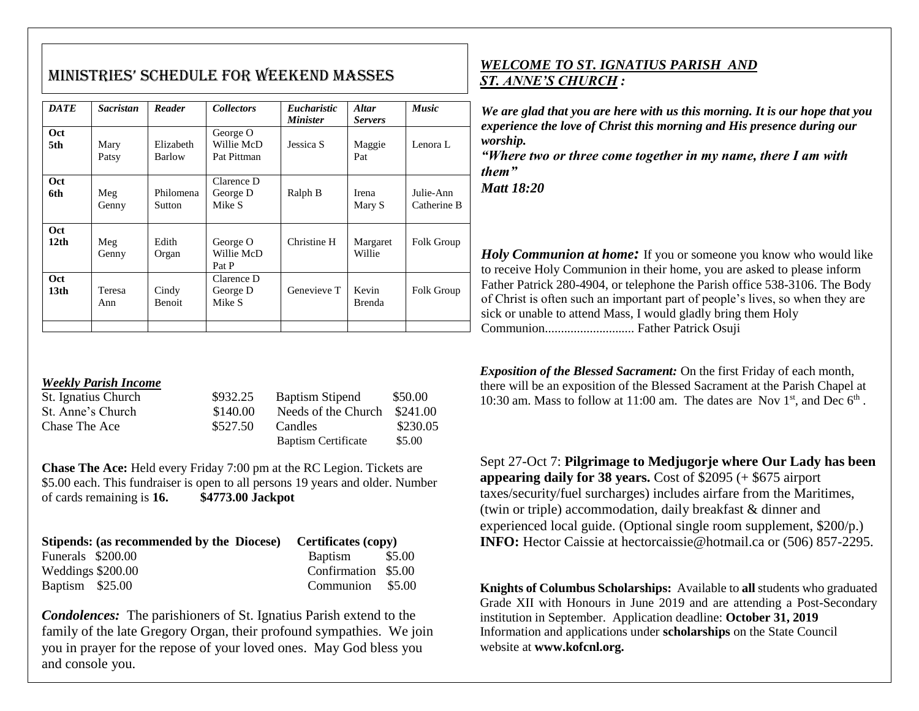# MiniStrieS' SChedule for Weekend MASSeS

| <b>DATE</b>                    | <b>Sacristan</b> | Reader                 | <b>Collectors</b>                     | <i>Eucharistic</i><br><b>Minister</b> | <b>Altar</b><br><b>Servers</b> | <b>Music</b>             |
|--------------------------------|------------------|------------------------|---------------------------------------|---------------------------------------|--------------------------------|--------------------------|
| Oct<br>5th                     | Mary<br>Patsy    | Elizabeth<br>Barlow    | George O<br>Willie McD<br>Pat Pittman | Jessica S                             | Maggie<br>Pat                  | Lenora L                 |
| <b>Oct</b><br>6th              | Meg<br>Genny     | Philomena<br>Sutton    | Clarence D<br>George D<br>Mike S      | Ralph B                               | Irena<br>Mary S                | Julie-Ann<br>Catherine B |
| Oct<br>12 <sub>th</sub>        | Meg<br>Genny     | Edith<br>Organ         | George O<br>Willie McD<br>Pat P       | Christine H                           | Margaret<br>Willie             | Folk Group               |
| <b>Oct</b><br>13 <sub>th</sub> | Teresa<br>Ann    | Cindy<br><b>Benoit</b> | Clarence D<br>George D<br>Mike S      | Genevieve T                           | Kevin<br>Brenda                | Folk Group               |
|                                |                  |                        |                                       |                                       |                                |                          |

#### *Weekly Parish Income*

| St. Ignatius Church | \$932.25 | <b>Baptism Stipend</b>     | \$50.00  |
|---------------------|----------|----------------------------|----------|
| St. Anne's Church   | \$140.00 | Needs of the Church        | \$241.00 |
| Chase The Ace       | \$527.50 | Candles                    | \$230.05 |
|                     |          | <b>Baptism Certificate</b> | \$5.00   |

**Chase The Ace:** Held every Friday 7:00 pm at the RC Legion. Tickets are \$5.00 each. This fundraiser is open to all persons 19 years and older. Number of cards remaining is **16. \$4773.00 Jackpot**

|                   | Stipends: (as recommended by the Diocese) Certificates (copy) |                     |  |
|-------------------|---------------------------------------------------------------|---------------------|--|
| Funerals \$200.00 |                                                               | Baptism \$5.00      |  |
| Weddings \$200.00 |                                                               | Confirmation \$5.00 |  |
| Baptism \$25.00   |                                                               | Communion \$5.00    |  |

*Condolences:* The parishioners of St. Ignatius Parish extend to the family of the late Gregory Organ, their profound sympathies. We join you in prayer for the repose of your loved ones. May God bless you and console you.

## *WELCOME TO ST. IGNATIUS PARISH AND ST. ANNE'S CHURCH :*

*We are glad that you are here with us this morning. It is our hope that you experience the love of Christ this morning and His presence during our worship.*

*"Where two or three come together in my name, there I am with them"*

*Matt 18:20*

*Holy Communion at home*: If you or someone you know who would like to receive Holy Communion in their home, you are asked to please inform Father Patrick 280-4904, or telephone the Parish office 538-3106. The Body of Christ is often such an important part of people's lives, so when they are sick or unable to attend Mass, I would gladly bring them Holy Communion............................ Father Patrick Osuji

*Exposition of the Blessed Sacrament:* On the first Friday of each month, there will be an exposition of the Blessed Sacrament at the Parish Chapel at 10:30 am. Mass to follow at 11:00 am. The dates are Nov  $1<sup>st</sup>$ , and Dec  $6<sup>th</sup>$ .

Sept 27-Oct 7: **Pilgrimage to Medjugorje where Our Lady has been appearing daily for 38 years.** Cost of \$2095 (+ \$675 airport taxes/security/fuel surcharges) includes airfare from the Maritimes, (twin or triple) accommodation, daily breakfast & dinner and experienced local guide. (Optional single room supplement, \$200/p.) **INFO:** Hector Caissie at hectorcaissie@hotmail.ca or (506) 857-2295.

**Knights of Columbus Scholarships:** Available to **all** students who graduated Grade XII with Honours in June 2019 and are attending a Post-Secondary institution in September. Application deadline: **October 31, 2019** Information and applications under **scholarships** on the State Council website at **www.kofcnl.org.**